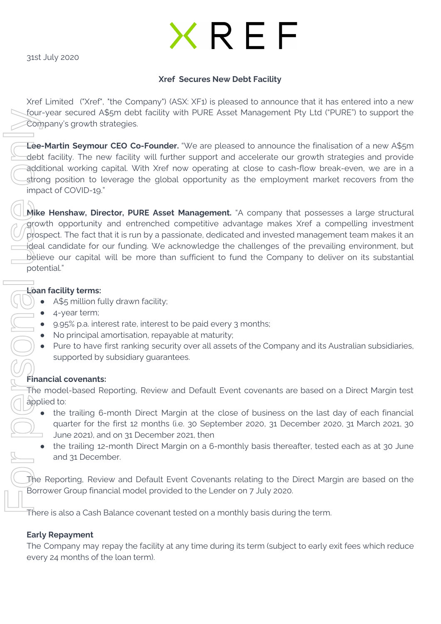31st July 2020

# **KREF**

## **Xref Secures New Debt Facility**

Xref Limited ("Xref", "the Company") (ASX: XF1) is pleased to announce that it has entered into a new four-year secured A\$5m debt facility with PURE Asset Management Pty Ltd ("PURE") to support the Company's growth strategies.

**Lee-Martin Seymour CEO Co-Founder.** "We are pleased to announce the finalisation of a new A\$5m debt facility. The new facility will further support and accelerate our growth strategies and provide additional working capital. With Xref now operating at close to cash-flow break-even, we are in a strong position to leverage the global opportunity as the employment market recovers from the impact of COVID-19."

**Mike Henshaw, Director, PURE Asset Management.** "A company that possesses a large structural growth opportunity and entrenched competitive advantage makes Xref a compelling investment prospect. The fact that it is run by a passionate, dedicated and invested management team makes it an ideal candidate for our funding. We acknowledge the challenges of the prevailing environment, but believe our capital will be more than sufficient to fund the Company to deliver on its substantial potential."

## **Loan facility terms:**

- A\$5 million fully drawn facility;
- 4-year term;
- 9.95% p.a. interest rate, interest to be paid every 3 months;
- No principal amortisation, repayable at maturity;
- Pure to have first ranking security over all assets of the Company and its Australian subsidiaries, supported by subsidiary guarantees.

# **Financial covenants:**

The model-based Reporting, Review and Default Event covenants are based on a Direct Margin test applied to:

- the trailing 6-month Direct Margin at the close of business on the last day of each financial quarter for the first 12 months (i.e. 30 September 2020, 31 December 2020, 31 March 2021, 30 June 2021), and on 31 December 2021, then
	- the trailing 12-month Direct Margin on a 6-monthly basis thereafter, tested each as at 30 June and 31 December.

The Reporting, Review and Default Event Covenants relating to the Direct Margin are based on the Borrower Group financial model provided to the Lender on 7 July 2020.

There is also a Cash Balance covenant tested on a monthly basis during the term.

# **Early Repayment**

The Company may repay the facility at any time during its term (subject to early exit fees which reduce

Four-year secured A55m debt fact<br>
Company's growth strategies.<br>
Lee-Martin Seymour CEO Co-Form<br>
debt facility. The new facility will<br>
edditional working capital. With Seymour CEO Co-Form<br>
impact of COVID-19."<br>
(Mike Hensha